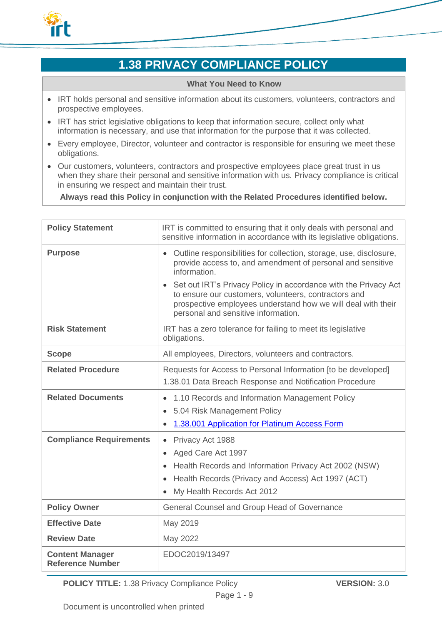

# **1.38 PRIVACY COMPLIANCE POLICY**

#### **What You Need to Know**

- IRT holds personal and sensitive information about its customers, volunteers, contractors and prospective employees.
- IRT has strict legislative obligations to keep that information secure, collect only what information is necessary, and use that information for the purpose that it was collected.
- Every employee, Director, volunteer and contractor is responsible for ensuring we meet these obligations.
- Our customers, volunteers, contractors and prospective employees place great trust in us when they share their personal and sensitive information with us. Privacy compliance is critical in ensuring we respect and maintain their trust.

**Always read this Policy in conjunction with the Related Procedures identified below.**

| <b>Policy Statement</b>                           | IRT is committed to ensuring that it only deals with personal and<br>sensitive information in accordance with its legislative obligations.                                                                                              |
|---------------------------------------------------|-----------------------------------------------------------------------------------------------------------------------------------------------------------------------------------------------------------------------------------------|
| <b>Purpose</b>                                    | Outline responsibilities for collection, storage, use, disclosure,<br>$\bullet$<br>provide access to, and amendment of personal and sensitive<br>information.                                                                           |
|                                                   | • Set out IRT's Privacy Policy in accordance with the Privacy Act<br>to ensure our customers, volunteers, contractors and<br>prospective employees understand how we will deal with their<br>personal and sensitive information.        |
| <b>Risk Statement</b>                             | IRT has a zero tolerance for failing to meet its legislative<br>obligations.                                                                                                                                                            |
| <b>Scope</b>                                      | All employees, Directors, volunteers and contractors.                                                                                                                                                                                   |
| <b>Related Procedure</b>                          | Requests for Access to Personal Information [to be developed]<br>1.38.01 Data Breach Response and Notification Procedure                                                                                                                |
| <b>Related Documents</b>                          | 1.10 Records and Information Management Policy<br>$\bullet$<br>5.04 Risk Management Policy<br>$\bullet$<br>1.38.001 Application for Platinum Access Form<br>$\bullet$                                                                   |
| <b>Compliance Requirements</b>                    | Privacy Act 1988<br>$\bullet$<br>Aged Care Act 1997<br>Health Records and Information Privacy Act 2002 (NSW)<br>$\bullet$<br>Health Records (Privacy and Access) Act 1997 (ACT)<br>$\bullet$<br>My Health Records Act 2012<br>$\bullet$ |
| <b>Policy Owner</b>                               | General Counsel and Group Head of Governance                                                                                                                                                                                            |
| <b>Effective Date</b>                             | May 2019                                                                                                                                                                                                                                |
| <b>Review Date</b>                                | May 2022                                                                                                                                                                                                                                |
| <b>Content Manager</b><br><b>Reference Number</b> | EDOC2019/13497                                                                                                                                                                                                                          |

**POLICY TITLE:** 1.38 Privacy Compliance Policy **VERSION:** 3.0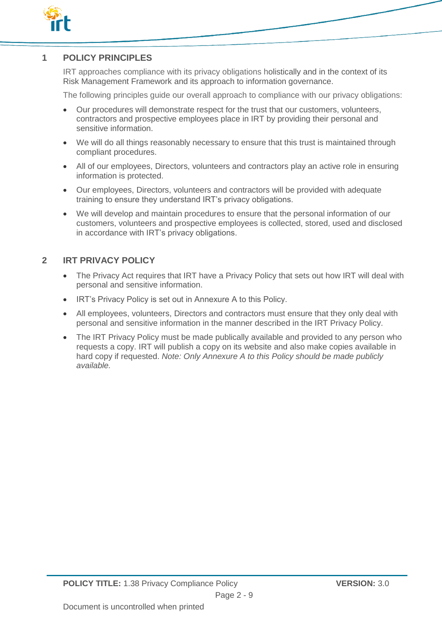

# **1 POLICY PRINCIPLES**

IRT approaches compliance with its privacy obligations holistically and in the context of its Risk Management Framework and its approach to information governance.

The following principles guide our overall approach to compliance with our privacy obligations:

- Our procedures will demonstrate respect for the trust that our customers, volunteers, contractors and prospective employees place in IRT by providing their personal and sensitive information.
- We will do all things reasonably necessary to ensure that this trust is maintained through compliant procedures.
- All of our employees, Directors, volunteers and contractors play an active role in ensuring information is protected.
- Our employees, Directors, volunteers and contractors will be provided with adequate training to ensure they understand IRT's privacy obligations.
- We will develop and maintain procedures to ensure that the personal information of our customers, volunteers and prospective employees is collected, stored, used and disclosed in accordance with IRT's privacy obligations.

# **2 IRT PRIVACY POLICY**

- The Privacy Act requires that IRT have a Privacy Policy that sets out how IRT will deal with personal and sensitive information.
- IRT's Privacy Policy is set out in Annexure A to this Policy.
- All employees, volunteers, Directors and contractors must ensure that they only deal with personal and sensitive information in the manner described in the IRT Privacy Policy.
- The IRT Privacy Policy must be made publically available and provided to any person who requests a copy. IRT will publish a copy on its website and also make copies available in hard copy if requested. *Note: Only Annexure A to this Policy should be made publicly available.*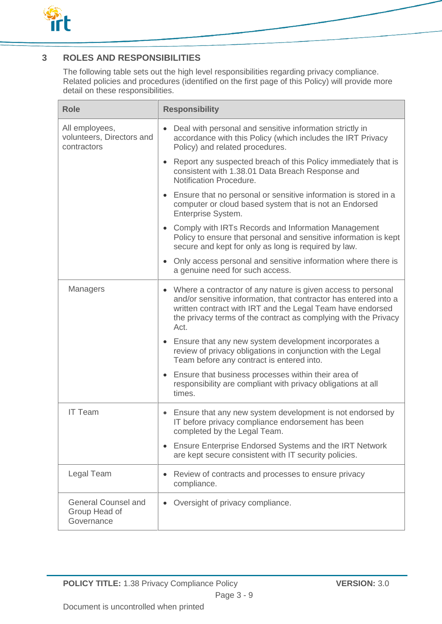

# **3 ROLES AND RESPONSIBILITIES**

The following table sets out the high level responsibilities regarding privacy compliance. Related policies and procedures (identified on the first page of this Policy) will provide more detail on these responsibilities.

| <b>Role</b>                                                | <b>Responsibility</b>                                                                                                                                                                                                                                                                  |
|------------------------------------------------------------|----------------------------------------------------------------------------------------------------------------------------------------------------------------------------------------------------------------------------------------------------------------------------------------|
| All employees,<br>volunteers, Directors and<br>contractors | Deal with personal and sensitive information strictly in<br>accordance with this Policy (which includes the IRT Privacy<br>Policy) and related procedures.                                                                                                                             |
|                                                            | Report any suspected breach of this Policy immediately that is<br>$\bullet$<br>consistent with 1.38.01 Data Breach Response and<br>Notification Procedure.                                                                                                                             |
|                                                            | Ensure that no personal or sensitive information is stored in a<br>computer or cloud based system that is not an Endorsed<br>Enterprise System.                                                                                                                                        |
|                                                            | • Comply with IRTs Records and Information Management<br>Policy to ensure that personal and sensitive information is kept<br>secure and kept for only as long is required by law.                                                                                                      |
|                                                            | Only access personal and sensitive information where there is<br>$\bullet$<br>a genuine need for such access.                                                                                                                                                                          |
| <b>Managers</b>                                            | Where a contractor of any nature is given access to personal<br>$\bullet$<br>and/or sensitive information, that contractor has entered into a<br>written contract with IRT and the Legal Team have endorsed<br>the privacy terms of the contract as complying with the Privacy<br>Act. |
|                                                            | • Ensure that any new system development incorporates a<br>review of privacy obligations in conjunction with the Legal<br>Team before any contract is entered into.                                                                                                                    |
|                                                            | Ensure that business processes within their area of<br>$\bullet$<br>responsibility are compliant with privacy obligations at all<br>times.                                                                                                                                             |
| <b>IT Team</b>                                             | Ensure that any new system development is not endorsed by<br>$\bullet$<br>IT before privacy compliance endorsement has been<br>completed by the Legal Team.                                                                                                                            |
|                                                            | <b>Ensure Enterprise Endorsed Systems and the IRT Network</b><br>are kept secure consistent with IT security policies.                                                                                                                                                                 |
| Legal Team                                                 | Review of contracts and processes to ensure privacy<br>compliance.                                                                                                                                                                                                                     |
| <b>General Counsel and</b><br>Group Head of<br>Governance  | Oversight of privacy compliance.                                                                                                                                                                                                                                                       |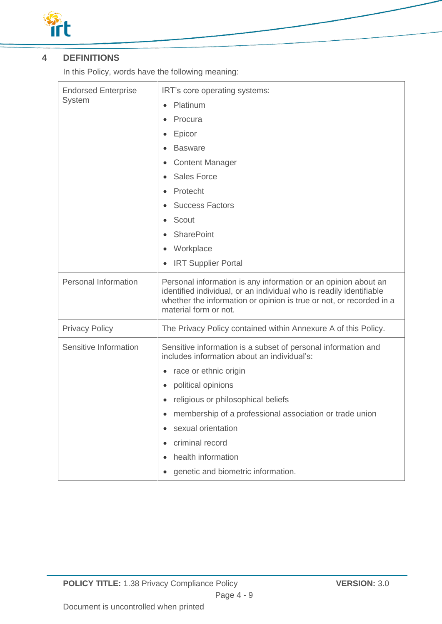

# **4 DEFINITIONS**

In this Policy, words have the following meaning:

| <b>Endorsed Enterprise</b><br>System | IRT's core operating systems:                                                                                                                                       |
|--------------------------------------|---------------------------------------------------------------------------------------------------------------------------------------------------------------------|
|                                      | Platinum                                                                                                                                                            |
|                                      | Procura                                                                                                                                                             |
|                                      | Epicor                                                                                                                                                              |
|                                      | <b>Basware</b>                                                                                                                                                      |
|                                      | <b>Content Manager</b>                                                                                                                                              |
|                                      | <b>Sales Force</b>                                                                                                                                                  |
|                                      | Protecht                                                                                                                                                            |
|                                      | <b>Success Factors</b>                                                                                                                                              |
|                                      | Scout                                                                                                                                                               |
|                                      | <b>SharePoint</b>                                                                                                                                                   |
|                                      | Workplace<br>$\bullet$                                                                                                                                              |
|                                      | <b>IRT Supplier Portal</b>                                                                                                                                          |
| <b>Personal Information</b>          | Personal information is any information or an opinion about an                                                                                                      |
|                                      | identified individual, or an individual who is readily identifiable<br>whether the information or opinion is true or not, or recorded in a<br>material form or not. |
| <b>Privacy Policy</b>                | The Privacy Policy contained within Annexure A of this Policy.                                                                                                      |
| Sensitive Information                | Sensitive information is a subset of personal information and<br>includes information about an individual's:                                                        |
|                                      | race or ethnic origin<br>$\bullet$                                                                                                                                  |
|                                      | political opinions<br>$\bullet$                                                                                                                                     |
|                                      | religious or philosophical beliefs                                                                                                                                  |
|                                      | membership of a professional association or trade union                                                                                                             |
|                                      | sexual orientation                                                                                                                                                  |
|                                      | criminal record                                                                                                                                                     |
|                                      | health information<br>$\bullet$                                                                                                                                     |
|                                      | genetic and biometric information.                                                                                                                                  |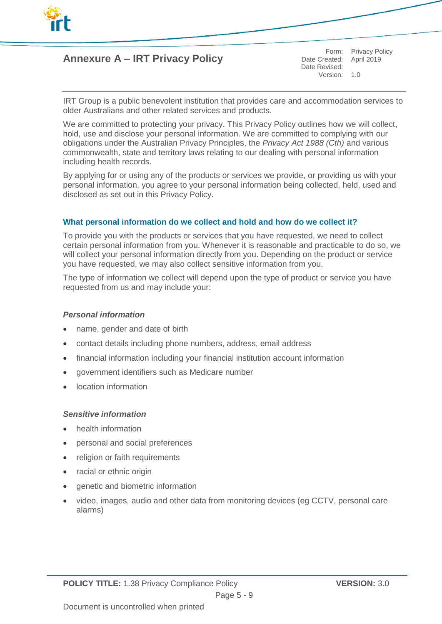

# **Annexure A – IRT Privacy Policy**

Date Created: April 2019 Date Revised: Version: 1.0

Form: Privacy Policy

IRT Group is a public benevolent institution that provides care and accommodation services to older Australians and other related services and products.

We are committed to protecting your privacy. This Privacy Policy outlines how we will collect, hold, use and disclose your personal information. We are committed to complying with our obligations under the Australian Privacy Principles, the *Privacy Act 1988 (Cth)* and various commonwealth, state and territory laws relating to our dealing with personal information including health records.

By applying for or using any of the products or services we provide, or providing us with your personal information, you agree to your personal information being collected, held, used and disclosed as set out in this Privacy Policy.

# **What personal information do we collect and hold and how do we collect it?**

To provide you with the products or services that you have requested, we need to collect certain personal information from you. Whenever it is reasonable and practicable to do so, we will collect your personal information directly from you. Depending on the product or service you have requested, we may also collect sensitive information from you.

The type of information we collect will depend upon the type of product or service you have requested from us and may include your:

## *Personal information*

- name, gender and date of birth
- contact details including phone numbers, address, email address
- financial information including your financial institution account information
- government identifiers such as Medicare number
- location information

# *Sensitive information*

- health information
- personal and social preferences
- religion or faith requirements
- racial or ethnic origin
- genetic and biometric information
- video, images, audio and other data from monitoring devices (eg CCTV, personal care alarms)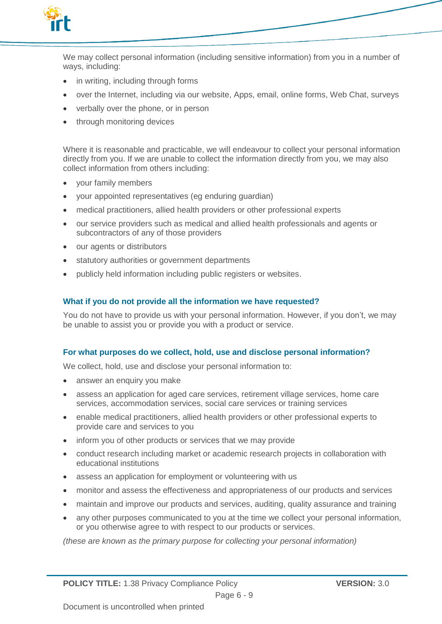

We may collect personal information (including sensitive information) from you in a number of ways, including:

- in writing, including through forms
- over the Internet, including via our website, Apps, email, online forms, Web Chat, surveys
- verbally over the phone, or in person
- through monitoring devices

Where it is reasonable and practicable, we will endeavour to collect your personal information directly from you. If we are unable to collect the information directly from you, we may also collect information from others including:

- your family members
- your appointed representatives (eg enduring guardian)
- medical practitioners, allied health providers or other professional experts
- our service providers such as medical and allied health professionals and agents or subcontractors of any of those providers
- our agents or distributors
- statutory authorities or government departments
- publicly held information including public registers or websites.

# **What if you do not provide all the information we have requested?**

You do not have to provide us with your personal information. However, if you don't, we may be unable to assist you or provide you with a product or service.

## **For what purposes do we collect, hold, use and disclose personal information?**

We collect, hold, use and disclose your personal information to:

- answer an enquiry you make
- assess an application for aged care services, retirement village services, home care services, accommodation services, social care services or training services
- enable medical practitioners, allied health providers or other professional experts to provide care and services to you
- inform you of other products or services that we may provide
- conduct research including market or academic research projects in collaboration with educational institutions
- assess an application for employment or volunteering with us
- monitor and assess the effectiveness and appropriateness of our products and services
- maintain and improve our products and services, auditing, quality assurance and training
- any other purposes communicated to you at the time we collect your personal information, or you otherwise agree to with respect to our products or services.

*(these are known as the primary purpose for collecting your personal information)*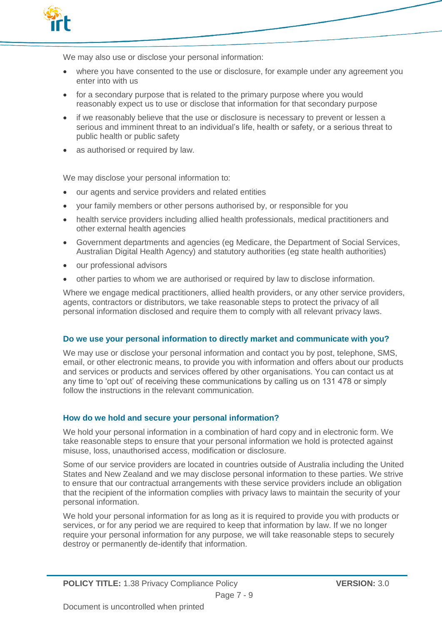

We may also use or disclose your personal information:

- where you have consented to the use or disclosure, for example under any agreement you enter into with us
- for a secondary purpose that is related to the primary purpose where you would reasonably expect us to use or disclose that information for that secondary purpose
- if we reasonably believe that the use or disclosure is necessary to prevent or lessen a serious and imminent threat to an individual's life, health or safety, or a serious threat to public health or public safety
- as authorised or required by law.

We may disclose your personal information to:

- our agents and service providers and related entities
- your family members or other persons authorised by, or responsible for you
- health service providers including allied health professionals, medical practitioners and other external health agencies
- Government departments and agencies (eg Medicare, the Department of Social Services, Australian Digital Health Agency) and statutory authorities (eg state health authorities)
- our professional advisors
- other parties to whom we are authorised or required by law to disclose information.

Where we engage medical practitioners, allied health providers, or any other service providers, agents, contractors or distributors, we take reasonable steps to protect the privacy of all personal information disclosed and require them to comply with all relevant privacy laws.

## **Do we use your personal information to directly market and communicate with you?**

We may use or disclose your personal information and contact you by post, telephone, SMS, email, or other electronic means, to provide you with information and offers about our products and services or products and services offered by other organisations. You can contact us at any time to 'opt out' of receiving these communications by calling us on 131 478 or simply follow the instructions in the relevant communication.

## **How do we hold and secure your personal information?**

We hold your personal information in a combination of hard copy and in electronic form. We take reasonable steps to ensure that your personal information we hold is protected against misuse, loss, unauthorised access, modification or disclosure.

Some of our service providers are located in countries outside of Australia including the United States and New Zealand and we may disclose personal information to these parties. We strive to ensure that our contractual arrangements with these service providers include an obligation that the recipient of the information complies with privacy laws to maintain the security of your personal information.

We hold your personal information for as long as it is required to provide you with products or services, or for any period we are required to keep that information by law. If we no longer require your personal information for any purpose, we will take reasonable steps to securely destroy or permanently de-identify that information.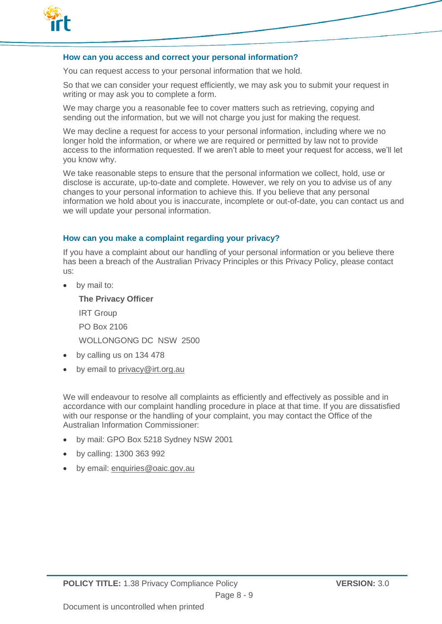

## **How can you access and correct your personal information?**

You can request access to your personal information that we hold.

So that we can consider your request efficiently, we may ask you to submit your request in writing or may ask you to complete a form.

We may charge you a reasonable fee to cover matters such as retrieving, copying and sending out the information, but we will not charge you just for making the request.

We may decline a request for access to your personal information, including where we no longer hold the information, or where we are required or permitted by law not to provide access to the information requested. If we aren't able to meet your request for access, we'll let you know why.

We take reasonable steps to ensure that the personal information we collect, hold, use or disclose is accurate, up-to-date and complete. However, we rely on you to advise us of any changes to your personal information to achieve this. If you believe that any personal information we hold about you is inaccurate, incomplete or out-of-date, you can contact us and we will update your personal information.

## **How can you make a complaint regarding your privacy?**

If you have a complaint about our handling of your personal information or you believe there has been a breach of the Australian Privacy Principles or this Privacy Policy, please contact us:

by mail to:

**The Privacy Officer** IRT Group PO Box 2106 WOLLONGONG DC NSW 2500

- by calling us on 134 478
- by email to privacy@irt.org.au

We will endeavour to resolve all complaints as efficiently and effectively as possible and in accordance with our complaint handling procedure in place at that time. If you are dissatisfied with our response or the handling of your complaint, you may contact the Office of the Australian Information Commissioner:

- by mail: GPO Box 5218 Sydney NSW 2001
- by calling: 1300 363 992
- by email: enquiries@oaic.gov.au